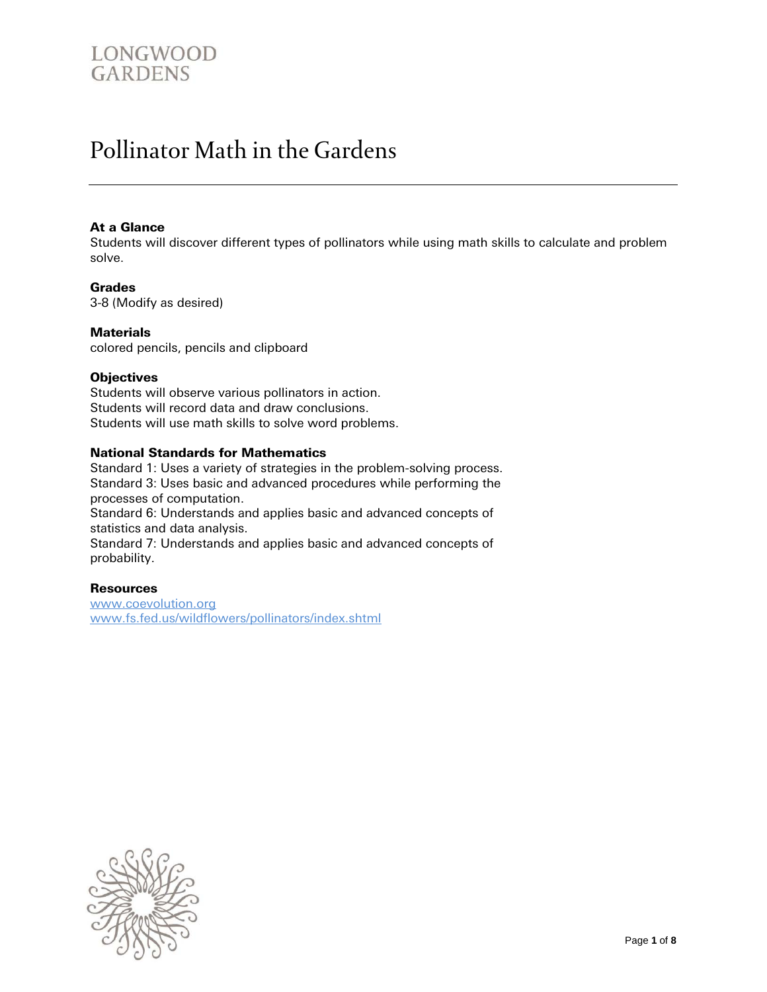### LONGWOOD **GARDENS**

### Pollinator Math in the Gardens

#### At a Glance

Students will discover different types of pollinators while using math skills to calculate and problem solve.

#### Grades

3-8 (Modify as desired)

#### **Materials**

colored pencils, pencils and clipboard

#### **Objectives**

Students will observe various pollinators in action. Students will record data and draw conclusions. Students will use math skills to solve word problems.

#### National Standards for Mathematics

Standard 1: Uses a variety of strategies in the problem-solving process. Standard 3: Uses basic and advanced procedures while performing the processes of computation.

Standard 6: Understands and applies basic and advanced concepts of statistics and data analysis.

Standard 7: Understands and applies basic and advanced concepts of probability.

#### **Resources**

[www.coevolution.org](http://www.coevolution.org/) [www.fs.fed.us/wildflowers/pollinators/index.shtml](http://www.fs.fed.us/wildflowers/pollinators/index.shtml)

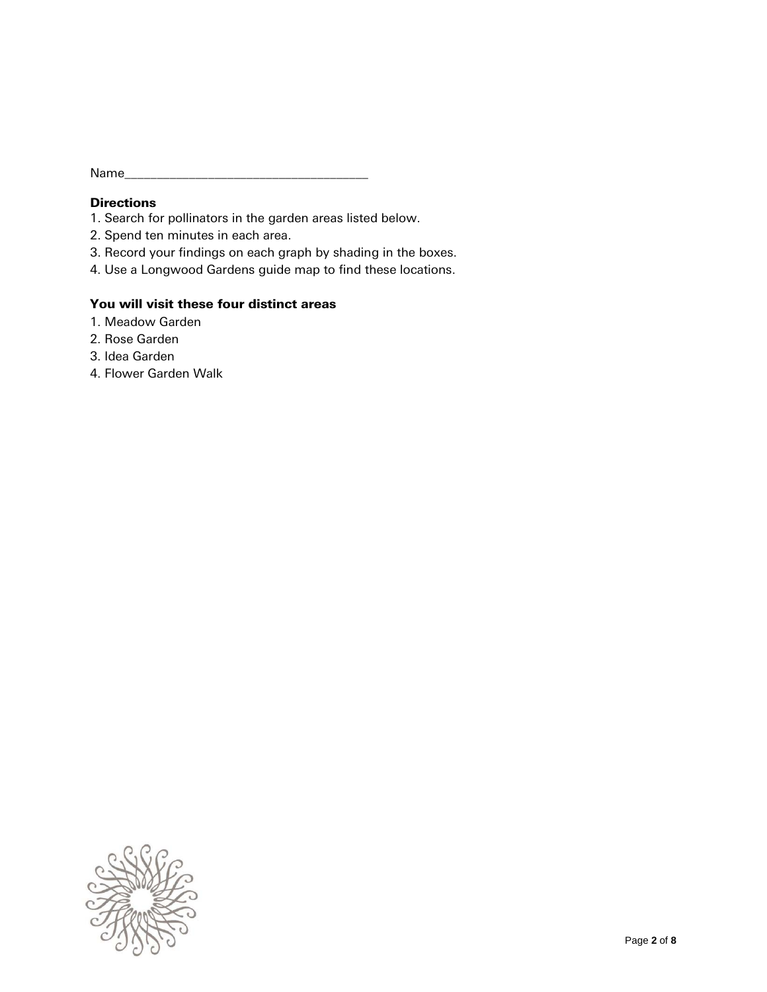Name\_\_\_

#### **Directions**

- 1. Search for pollinators in the garden areas listed below.
- 2. Spend ten minutes in each area.
- 3. Record your findings on each graph by shading in the boxes.
- 4. Use a Longwood Gardens guide map to find these locations.

#### You will visit these four distinct areas

- 1. Meadow Garden
- 2. Rose Garden
- 3. Idea Garden
- 4. Flower Garden Walk

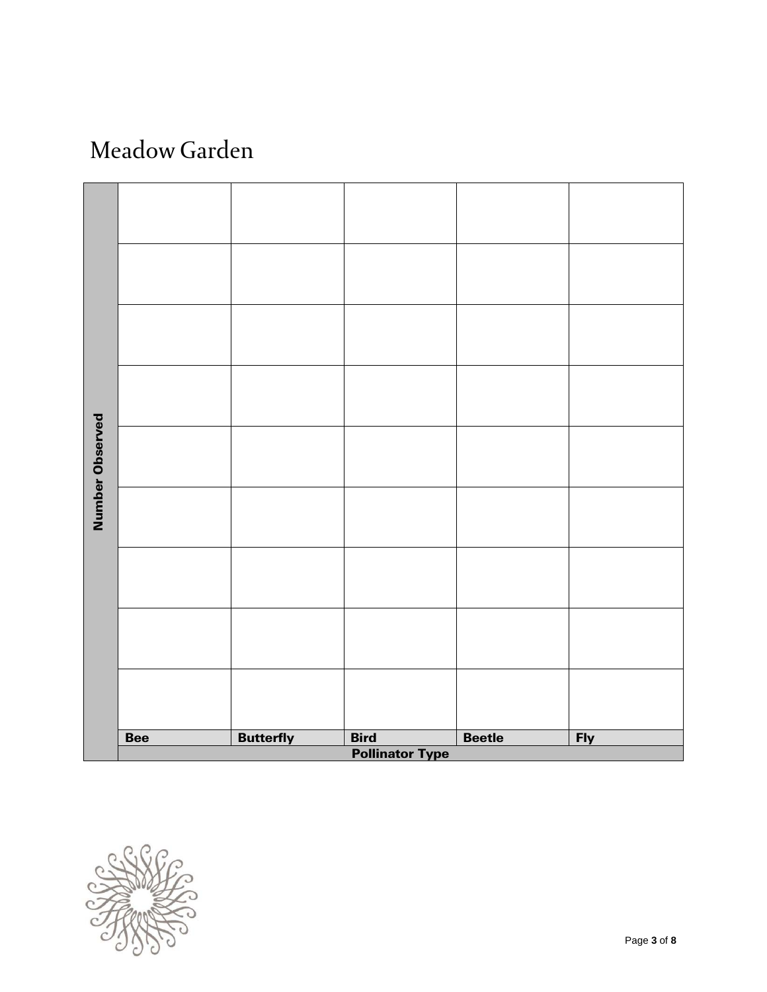# Meadow Garden



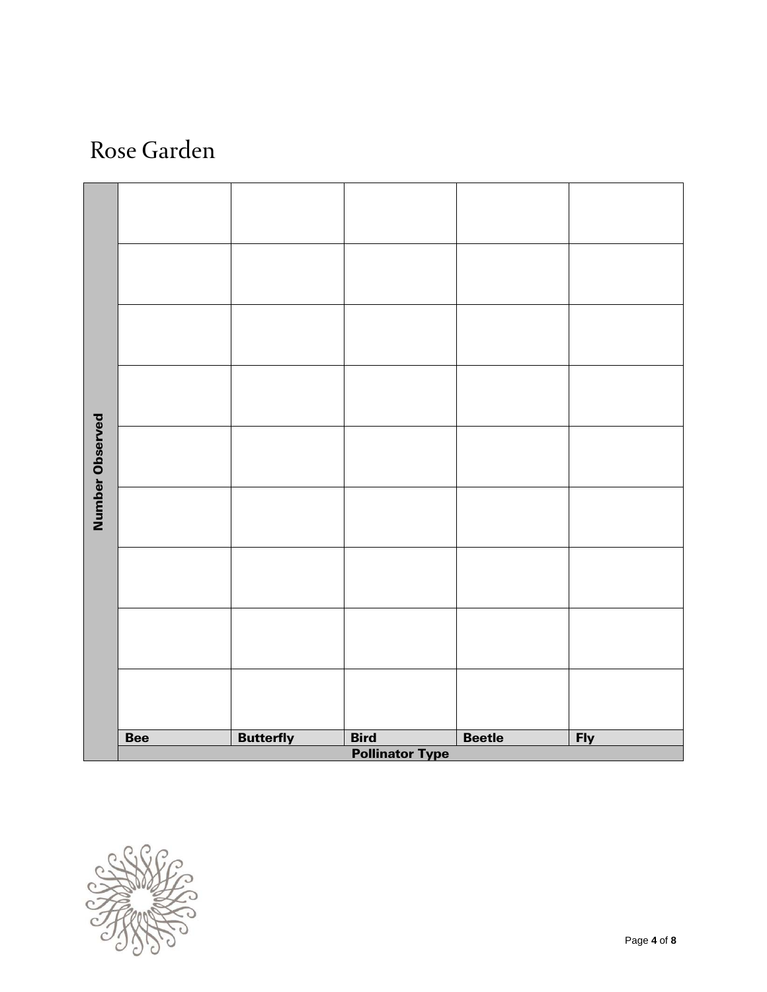## Rose Garden



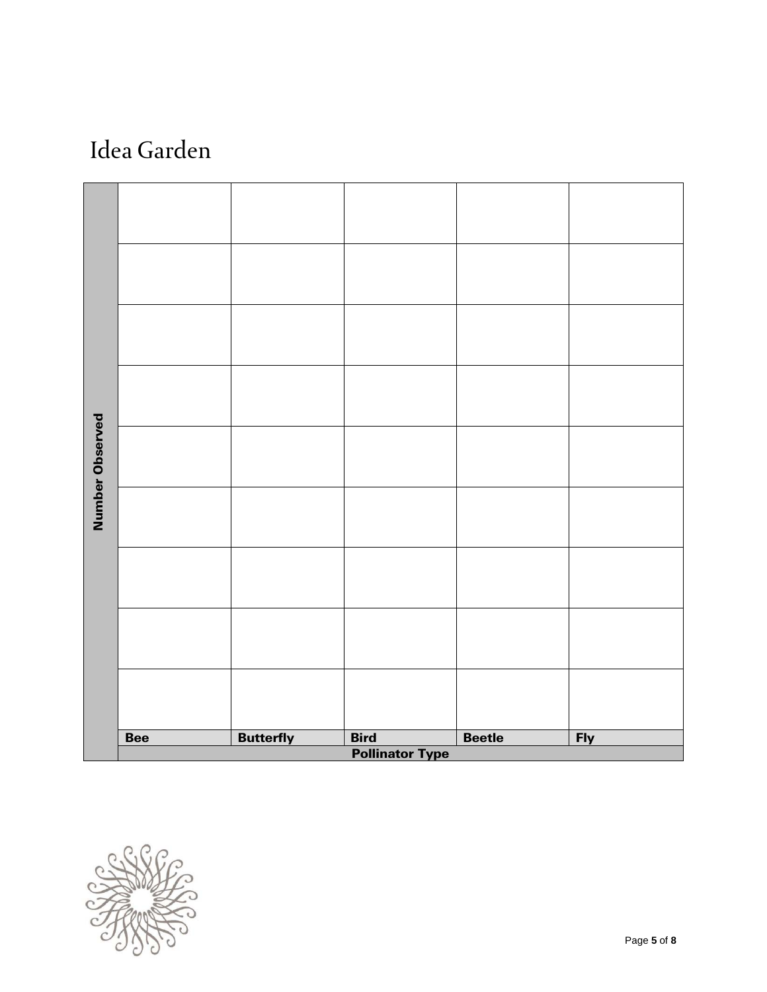# Idea Garden



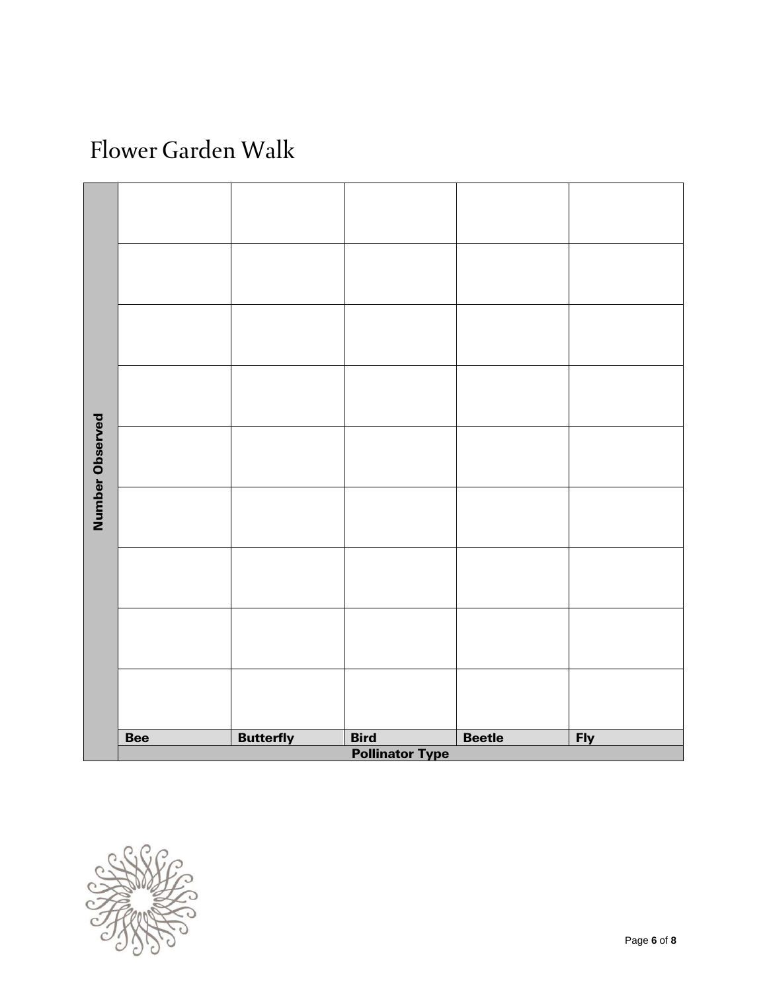# Flower Garden Walk



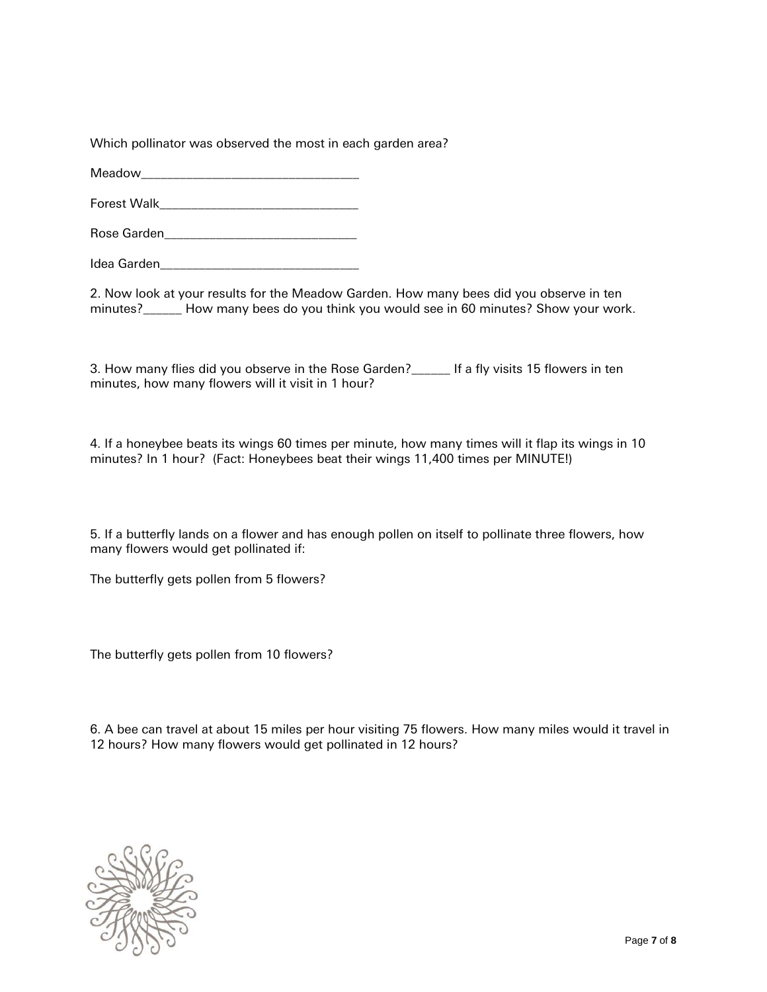Which pollinator was observed the most in each garden area?

Meadow\_\_\_\_\_\_\_\_\_\_\_\_\_\_\_\_\_\_\_\_\_\_\_\_\_\_\_\_\_\_\_\_\_\_

Forest Walk\_\_\_\_\_\_\_\_\_\_\_\_\_\_\_\_\_\_\_\_\_\_\_\_\_\_\_\_\_\_\_

Rose Garden\_\_\_\_\_\_\_\_\_\_\_\_\_\_\_\_\_\_\_\_\_\_\_\_\_\_\_\_\_\_

Idea Garden\_\_\_\_\_\_\_\_\_\_\_\_\_\_\_\_\_\_\_\_\_\_\_\_\_\_\_\_\_\_\_

2. Now look at your results for the Meadow Garden. How many bees did you observe in ten minutes?\_\_\_\_\_\_ How many bees do you think you would see in 60 minutes? Show your work.

3. How many flies did you observe in the Rose Garden?\_\_\_\_\_\_ If a fly visits 15 flowers in ten minutes, how many flowers will it visit in 1 hour?

4. If a honeybee beats its wings 60 times per minute, how many times will it flap its wings in 10 minutes? In 1 hour? (Fact: Honeybees beat their wings 11,400 times per MINUTE!)

5. If a butterfly lands on a flower and has enough pollen on itself to pollinate three flowers, how many flowers would get pollinated if:

The butterfly gets pollen from 5 flowers?

The butterfly gets pollen from 10 flowers?

6. A bee can travel at about 15 miles per hour visiting 75 flowers. How many miles would it travel in 12 hours? How many flowers would get pollinated in 12 hours?